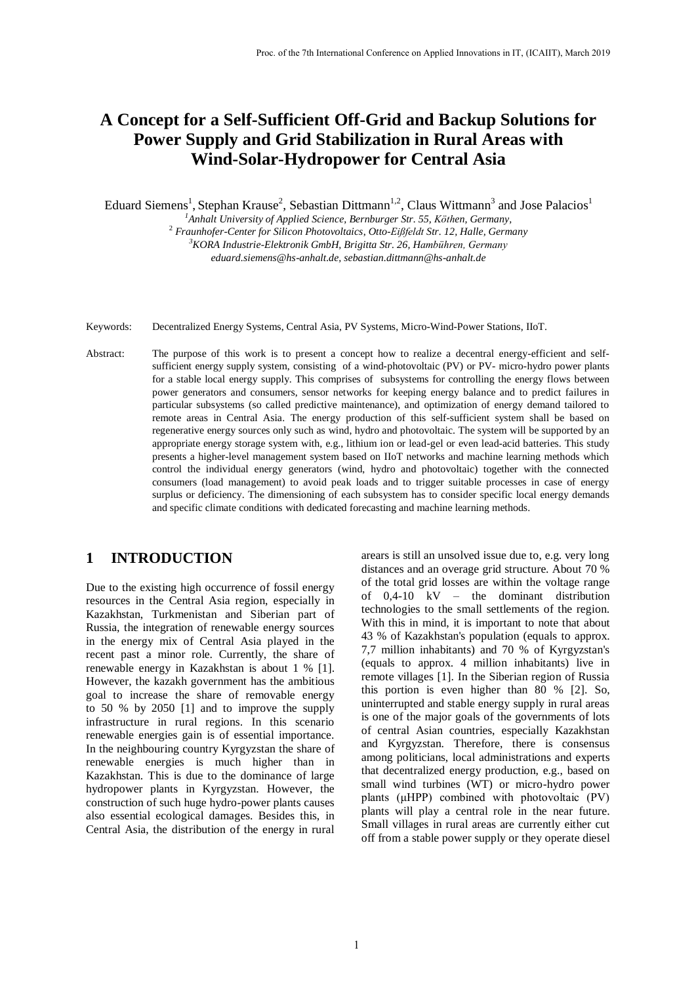# **A Concept for a Self-Sufficient Off-Grid and Backup Solutions for Power Supply and Grid Stabilization in Rural Areas with Wind-Solar-Hydropower for Central Asia**

Eduard Siemens<sup>1</sup>, Stephan Krause<sup>2</sup>, Sebastian Dittmann<sup>1,2</sup>, Claus Wittmann<sup>3</sup> and Jose Palacios<sup>1</sup>

*<sup>1</sup>Anhalt University of Applied Science, Bernburger Str. 55, Köthen, Germany,*

<sup>2</sup> *Fraunhofer-Center for Silicon Photovoltaics*, *Otto-Eißfeldt Str. 12, Halle, Germany <sup>3</sup>KORA Industrie-Elektronik GmbH, Brigitta Str. 26, Hambühren, Germany eduard.siemens@hs-anhalt.de, sebastian.dittmann@hs-anhalt.de*

Keywords: Decentralized Energy Systems, Central Asia, PV Systems, Micro-Wind-Power Stations, IIoT.

Abstract: The purpose of this work is to present a concept how to realize a decentral energy-efficient and selfsufficient energy supply system, consisting of a wind-photovoltaic (PV) or PV- micro-hydro power plants for a stable local energy supply. This comprises of subsystems for controlling the energy flows between power generators and consumers, sensor networks for keeping energy balance and to predict failures in particular subsystems (so called predictive maintenance), and optimization of energy demand tailored to remote areas in Central Asia. The energy production of this self-sufficient system shall be based on regenerative energy sources only such as wind, hydro and photovoltaic. The system will be supported by an appropriate energy storage system with, e.g., lithium ion or lead-gel or even lead-acid batteries. This study presents a higher-level management system based on IIoT networks and machine learning methods which control the individual energy generators (wind, hydro and photovoltaic) together with the connected consumers (load management) to avoid peak loads and to trigger suitable processes in case of energy surplus or deficiency. The dimensioning of each subsystem has to consider specific local energy demands and specific climate conditions with dedicated forecasting and machine learning methods.

## **1 INTRODUCTION**

Due to the existing high occurrence of fossil energy resources in the Central Asia region, especially in Kazakhstan, Turkmenistan and Siberian part of Russia, the integration of renewable energy sources in the energy mix of Central Asia played in the recent past a minor role. Currently, the share of renewable energy in Kazakhstan is about 1 % [\[1\].](#page-5-0) However, the kazakh government has the ambitious goal to increase the share of removable energy to 50 % by 2050 [1] and to improve the supply infrastructure in rural regions. In this scenario renewable energies gain is of essential importance. In the neighbouring country Kyrgyzstan the share of renewable energies is much higher than in Kazakhstan. This is due to the dominance of large hydropower plants in Kyrgyzstan. However, the construction of such huge hydro-power plants causes also essential ecological damages. Besides this, in Central Asia, the distribution of the energy in rural

arears is still an unsolved issue due to, e.g. very long distances and an overage grid structure. About 70 % of the total grid losses are within the voltage range of 0,4-10 kV – the dominant distribution technologies to the small settlements of the region. With this in mind, it is important to note that about 43 % of Kazakhstan's population (equals to approx. 7,7 million inhabitants) and 70 % of Kyrgyzstan's (equals to approx. 4 million inhabitants) live in remote villages [\[1\].](#page-5-0) In the Siberian region of Russia this portion is even higher than 80 % [\[2\].](#page-5-1) So, uninterrupted and stable energy supply in rural areas is one of the major goals of the governments of lots of central Asian countries, especially Kazakhstan and Kyrgyzstan. Therefore, there is consensus among politicians, local administrations and experts that decentralized energy production, e.g., based on small wind turbines (WT) or micro-hydro power plants (μHPP) combined with photovoltaic (PV) plants will play a central role in the near future. Small villages in rural areas are currently either cut off from a stable power supply or they operate diesel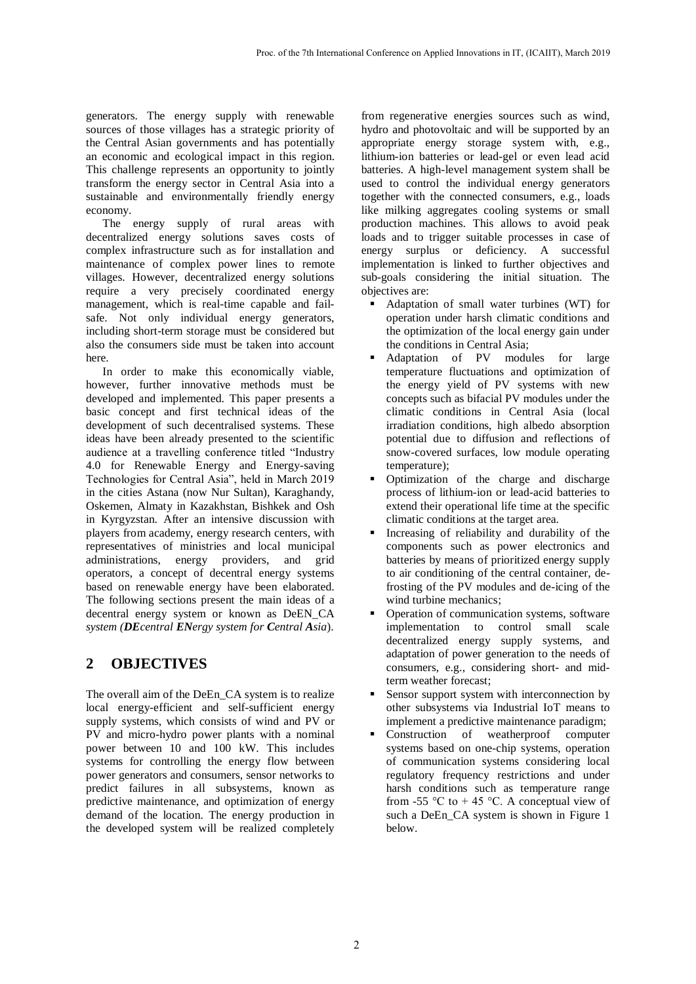generators. The energy supply with renewable sources of those villages has a strategic priority of the Central Asian governments and has potentially an economic and ecological impact in this region. This challenge represents an opportunity to jointly transform the energy sector in Central Asia into a sustainable and environmentally friendly energy economy.

The energy supply of rural areas with decentralized energy solutions saves costs of complex infrastructure such as for installation and maintenance of complex power lines to remote villages. However, decentralized energy solutions require a very precisely coordinated energy management, which is real-time capable and failsafe. Not only individual energy generators, including short-term storage must be considered but also the consumers side must be taken into account here.

In order to make this economically viable, however, further innovative methods must be developed and implemented. This paper presents a basic concept and first technical ideas of the development of such decentralised systems. These ideas have been already presented to the scientific audience at a travelling conference titled "Industry 4.0 for Renewable Energy and Energy-saving Technologies for Central Asia", held in March 2019 in the cities Astana (now Nur Sultan), Karaghandy, Oskemen, Almaty in Kazakhstan, Bishkek and Osh in Kyrgyzstan. After an intensive discussion with players from academy, energy research centers, with representatives of ministries and local municipal administrations, energy providers, and grid operators, a concept of decentral energy systems based on renewable energy have been elaborated. The following sections present the main ideas of a decentral energy system or known as DeEN\_CA *system (DEcentral ENergy system for Central Asia*).

## **2 OBJECTIVES**

The overall aim of the DeEn\_CA system is to realize local energy-efficient and self-sufficient energy supply systems, which consists of wind and PV or PV and micro-hydro power plants with a nominal power between 10 and 100 kW. This includes systems for controlling the energy flow between power generators and consumers, sensor networks to predict failures in all subsystems, known as predictive maintenance, and optimization of energy demand of the location. The energy production in the developed system will be realized completely

from regenerative energies sources such as wind, hydro and photovoltaic and will be supported by an appropriate energy storage system with, e.g., lithium-ion batteries or lead-gel or even lead acid batteries. A high-level management system shall be used to control the individual energy generators together with the connected consumers, e.g., loads like milking aggregates cooling systems or small production machines. This allows to avoid peak loads and to trigger suitable processes in case of energy surplus or deficiency. A successful implementation is linked to further objectives and sub-goals considering the initial situation. The objectives are:

- Adaptation of small water turbines (WT) for operation under harsh climatic conditions and the optimization of the local energy gain under the conditions in Central Asia;
- Adaptation of PV modules for large temperature fluctuations and optimization of the energy yield of PV systems with new concepts such as bifacial PV modules under the climatic conditions in Central Asia (local irradiation conditions, high albedo absorption potential due to diffusion and reflections of snow-covered surfaces, low module operating temperature);
- Optimization of the charge and discharge process of lithium-ion or lead-acid batteries to extend their operational life time at the specific climatic conditions at the target area.
- Increasing of reliability and durability of the components such as power electronics and batteries by means of prioritized energy supply to air conditioning of the central container, defrosting of the PV modules and de-icing of the wind turbine mechanics;
- Operation of communication systems, software implementation to control small scale decentralized energy supply systems, and adaptation of power generation to the needs of consumers, e.g., considering short- and midterm weather forecast;
- Sensor support system with interconnection by other subsystems via Industrial IoT means to implement a predictive maintenance paradigm;
- Construction of weatherproof computer systems based on one-chip systems, operation of communication systems considering local regulatory frequency restrictions and under harsh conditions such as temperature range from -55 °C to  $+ 45$  °C. A conceptual view of such a DeEn\_CA system is shown in Figure 1 below.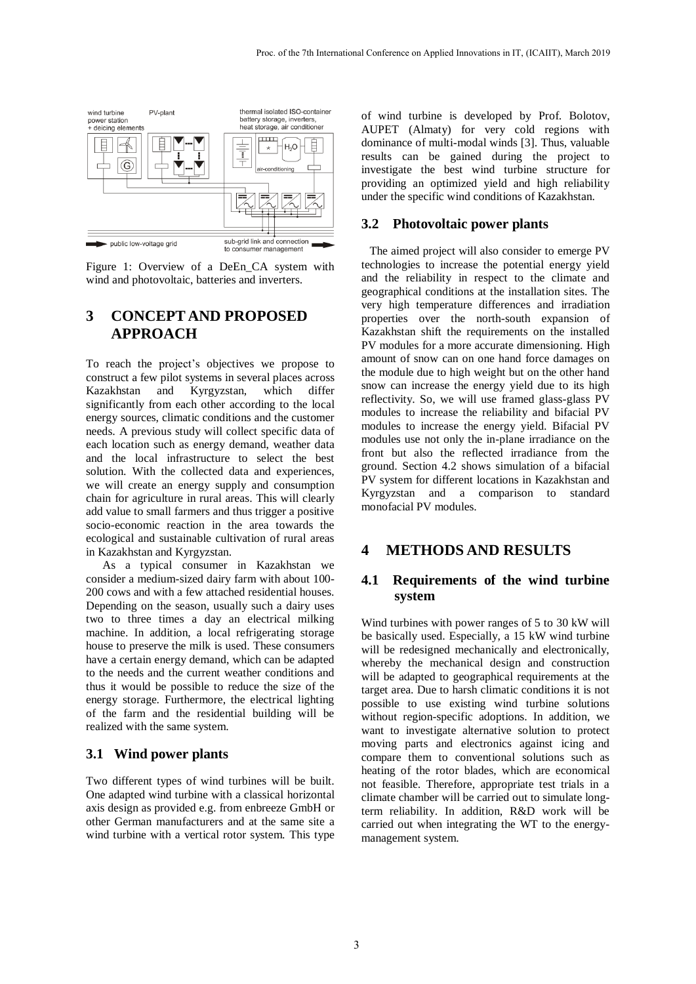

Figure 1: Overview of a DeEn\_CA system with wind and photovoltaic, batteries and inverters.

## **3 CONCEPT AND PROPOSED APPROACH**

To reach the project's objectives we propose to construct a few pilot systems in several places across Kazakhstan and Kyrgyzstan, which differ significantly from each other according to the local energy sources, climatic conditions and the customer needs. A previous study will collect specific data of each location such as energy demand, weather data and the local infrastructure to select the best solution. With the collected data and experiences, we will create an energy supply and consumption chain for agriculture in rural areas. This will clearly add value to small farmers and thus trigger a positive socio-economic reaction in the area towards the ecological and sustainable cultivation of rural areas in Kazakhstan and Kyrgyzstan.

As a typical consumer in Kazakhstan we consider a medium-sized dairy farm with about 100- 200 cows and with a few attached residential houses. Depending on the season, usually such a dairy uses two to three times a day an electrical milking machine. In addition, a local refrigerating storage house to preserve the milk is used. These consumers have a certain energy demand, which can be adapted to the needs and the current weather conditions and thus it would be possible to reduce the size of the energy storage. Furthermore, the electrical lighting of the farm and the residential building will be realized with the same system.

#### **3.1 Wind power plants**

Two different types of wind turbines will be built. One adapted wind turbine with a classical horizontal axis design as provided e.g. from enbreeze GmbH or other German manufacturers and at the same site a wind turbine with a vertical rotor system. This type of wind turbine is developed by Prof. Bolotov, AUPET (Almaty) for very cold regions with dominance of multi-modal winds [\[3\].](#page-5-2) Thus, valuable results can be gained during the project to investigate the best wind turbine structure for providing an optimized yield and high reliability under the specific wind conditions of Kazakhstan.

#### **3.2 Photovoltaic power plants**

The aimed project will also consider to emerge PV technologies to increase the potential energy yield and the reliability in respect to the climate and geographical conditions at the installation sites. The very high temperature differences and irradiation properties over the north-south expansion of Kazakhstan shift the requirements on the installed PV modules for a more accurate dimensioning. High amount of snow can on one hand force damages on the module due to high weight but on the other hand snow can increase the energy yield due to its high reflectivity. So, we will use framed glass-glass PV modules to increase the reliability and bifacial PV modules to increase the energy yield. Bifacial PV modules use not only the in-plane irradiance on the front but also the reflected irradiance from the ground. Section 4.2 shows simulation of a bifacial PV system for different locations in Kazakhstan and Kyrgyzstan and a comparison to standard monofacial PV modules.

## **4 METHODS AND RESULTS**

### **4.1 Requirements of the wind turbine system**

Wind turbines with power ranges of 5 to 30 kW will be basically used. Especially, a 15 kW wind turbine will be redesigned mechanically and electronically, whereby the mechanical design and construction will be adapted to geographical requirements at the target area. Due to harsh climatic conditions it is not possible to use existing wind turbine solutions without region-specific adoptions. In addition, we want to investigate alternative solution to protect moving parts and electronics against icing and compare them to conventional solutions such as heating of the rotor blades, which are economical not feasible. Therefore, appropriate test trials in a climate chamber will be carried out to simulate longterm reliability. In addition, R&D work will be carried out when integrating the WT to the energymanagement system.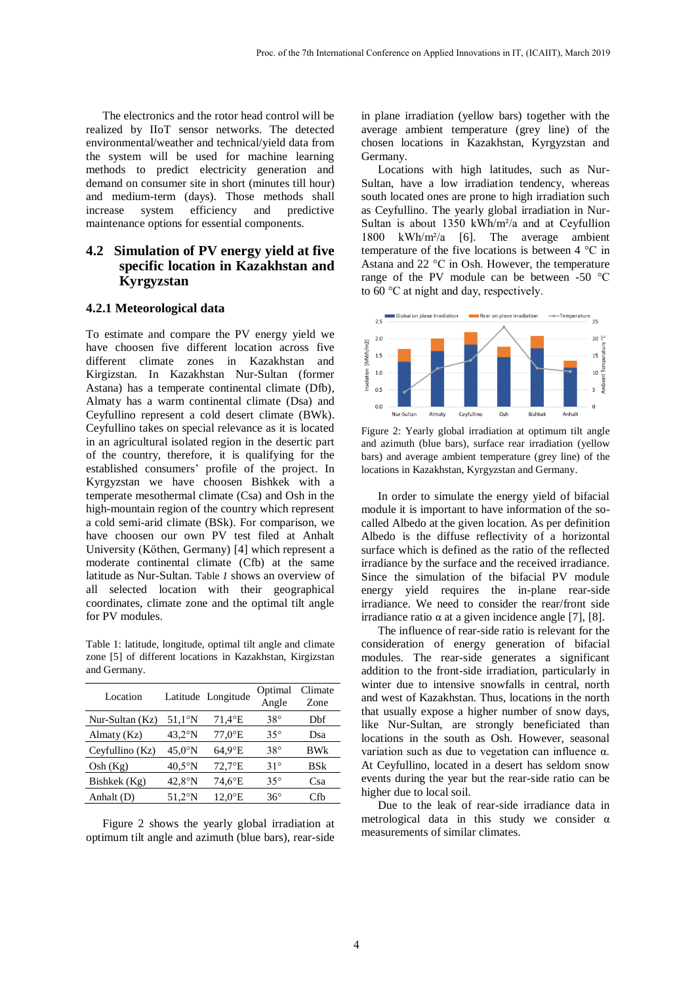The electronics and the rotor head control will be realized by IIoT sensor networks. The detected environmental/weather and technical/yield data from the system will be used for machine learning methods to predict electricity generation and demand on consumer site in short (minutes till hour) and medium-term (days). Those methods shall increase system efficiency and predictive maintenance options for essential components.

## **4.2 Simulation of PV energy yield at five specific location in Kazakhstan and Kyrgyzstan**

#### **4.2.1 Meteorological data**

To estimate and compare the PV energy yield we have choosen five different location across five different climate zones in Kazakhstan and Kirgizstan. In Kazakhstan Nur-Sultan (former Astana) has a temperate continental climate (Dfb), Almaty has a warm continental climate (Dsa) and Ceyfullino represent a cold desert climate (BWk). Ceyfullino takes on special relevance as it is located in an agricultural isolated region in the desertic part of the country, therefore, it is qualifying for the established consumers' profile of the project. In Kyrgyzstan we have choosen Bishkek with a temperate mesothermal climate (Csa) and Osh in the high-mountain region of the country which represent a cold semi-arid climate (BSk). For comparison, we have choosen our own PV test filed at Anhalt University (Köthen, Germany) [\[4\]](#page-5-3) which represent a moderate continental climate (Cfb) at the same latitude as Nur-Sultan. [Table](#page-3-0) *1* shows an overview of all selected location with their geographical coordinates, climate zone and the optimal tilt angle for PV modules.

<span id="page-3-0"></span>Table 1: latitude, longitude, optimal tilt angle and climate zone [\[5\]](#page-5-4) of different locations in Kazakhstan, Kirgizstan and Germany.

| Location          |                  | Latitude Longitude    | Optimal<br>Angle | Climate<br>Zone |
|-------------------|------------------|-----------------------|------------------|-----------------|
| Nur-Sultan $(Kz)$ | $51.1^\circ N$   | 71,4°E                | $38^\circ$       | Dbf             |
| Almaty $(Kz)$     | $43.2^\circ$ N   | $77.0$ <sup>o</sup> E | $35^{\circ}$     | Dsa             |
| Ceyfullino (Kz)   | $45.0^\circ$ N   | $64.9$ °E             | $38^\circ$       | BWk             |
| Osh(Kg)           | $40.5^{\circ}$ N | $72.7$ °E             | $31^\circ$       | BSk             |
| Bishkek (Kg)      | $42.8^\circ$ N   | $74.6$ °E             | $35^\circ$       | Csa             |
| Anhalt (D)        | $51.2^\circ$ N   | $12,0$ <sup>o</sup> E | $36^{\circ}$     | Cfb             |

[Figure 2](#page-3-1) shows the yearly global irradiation at optimum tilt angle and azimuth (blue bars), rear-side

in plane irradiation (yellow bars) together with the average ambient temperature (grey line) of the chosen locations in Kazakhstan, Kyrgyzstan and Germany.

Locations with high latitudes, such as Nur-Sultan, have a low irradiation tendency, whereas south located ones are prone to high irradiation such as Ceyfullino. The yearly global irradiation in Nur-Sultan is about 1350 kWh/m²/a and at Ceyfullion 1800 kWh/m²/a [\[6\].](#page-5-5) The average ambient temperature of the five locations is between 4 °C in Astana and 22 °C in Osh. However, the temperature range of the PV module can be between -50 °C to 60 °C at night and day, respectively.



<span id="page-3-1"></span>Figure 2: Yearly global irradiation at optimum tilt angle and azimuth (blue bars), surface rear irradiation (yellow bars) and average ambient temperature (grey line) of the locations in Kazakhstan, Kyrgyzstan and Germany.

In order to simulate the energy yield of bifacial module it is important to have information of the socalled Albedo at the given location. As per definition Albedo is the diffuse reflectivity of a horizontal surface which is defined as the ratio of the reflected irradiance by the surface and the received irradiance. Since the simulation of the bifacial PV module energy yield requires the in-plane rear-side irradiance. We need to consider the rear/front side irradiance ratio α at a given incidence angle [\[7\],](#page-5-6) [\[8\].](#page-5-7)

The influence of rear-side ratio is relevant for the consideration of energy generation of bifacial modules. The rear-side generates a significant addition to the front-side irradiation, particularly in winter due to intensive snowfalls in central, north and west of Kazakhstan. Thus, locations in the north that usually expose a higher number of snow days, like Nur-Sultan, are strongly beneficiated than locations in the south as Osh. However, seasonal variation such as due to vegetation can influence α. At Ceyfullino, located in a desert has seldom snow events during the year but the rear-side ratio can be higher due to local soil.

Due to the leak of rear-side irradiance data in metrological data in this study we consider α measurements of similar climates.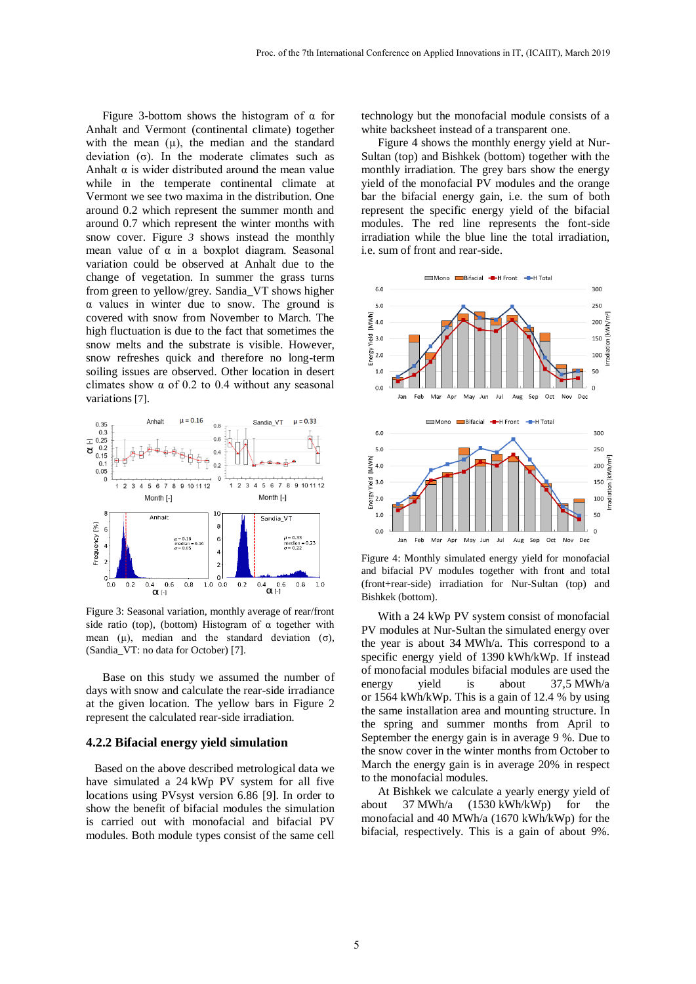[Figure 3-](#page-4-0)bottom shows the histogram of  $\alpha$  for Anhalt and Vermont (continental climate) together with the mean  $(\mu)$ , the median and the standard deviation (σ). In the moderate climates such as Anhalt  $\alpha$  is wider distributed around the mean value while in the temperate continental climate at Vermont we see two maxima in the distribution. One around 0.2 which represent the summer month and around 0.7 which represent the winter months with snow cover. [Figure](#page-4-0) *3* shows instead the monthly mean value of  $\alpha$  in a boxplot diagram. Seasonal variation could be observed at Anhalt due to the change of vegetation. In summer the grass turns from green to yellow/grey. Sandia\_VT shows higher α values in winter due to snow. The ground is covered with snow from November to March. The high fluctuation is due to the fact that sometimes the snow melts and the substrate is visible. However, snow refreshes quick and therefore no long-term soiling issues are observed. Other location in desert climates show  $\alpha$  of 0.2 to 0.4 without any seasonal variations [\[7\]](#page-5-6).



<span id="page-4-0"></span>Figure 3: Seasonal variation, monthly average of rear/front side ratio (top), (bottom) Histogram of  $\alpha$  together with mean ( $\mu$ ), median and the standard deviation ( $\sigma$ ), (Sandia\_VT: no data for October) [\[7\].](#page-5-6) 

Base on this study we assumed the number of days with snow and calculate the rear-side irradiance at the given location. The yellow bars in [Figure 2](#page-3-1) represent the calculated rear-side irradiation.

#### **4.2.2 Bifacial energy yield simulation**

Based on the above described metrological data we have simulated a 24 kWp PV system for all five locations using PVsyst version 6.86 [\[9\].](#page-5-8) In order to show the benefit of bifacial modules the simulation is carried out with monofacial and bifacial PV modules. Both module types consist of the same cell

technology but the monofacial module consists of a white backsheet instead of a transparent one.

[Figure 4](#page-4-1) shows the monthly energy yield at Nur-Sultan (top) and Bishkek (bottom) together with the monthly irradiation. The grey bars show the energy yield of the monofacial PV modules and the orange bar the bifacial energy gain, i.e. the sum of both represent the specific energy yield of the bifacial modules. The red line represents the font-side irradiation while the blue line the total irradiation, i.e. sum of front and rear-side.



<span id="page-4-1"></span>Figure 4: Monthly simulated energy yield for monofacial and bifacial PV modules together with front and total (front+rear-side) irradiation for Nur-Sultan (top) and Bishkek (bottom).

With a 24 kWp PV system consist of monofacial PV modules at Nur-Sultan the simulated energy over the year is about 34 MWh/a. This correspond to a specific energy yield of 1390 kWh/kWp. If instead of monofacial modules bifacial modules are used the energy yield is about 37,5 MWh/a or 1564 kWh/kWp. This is a gain of 12.4 % by using the same installation area and mounting structure. In the spring and summer months from April to September the energy gain is in average 9 %. Due to the snow cover in the winter months from October to March the energy gain is in average 20% in respect to the monofacial modules.

At Bishkek we calculate a yearly energy yield of about 37 MWh/a (1530 kWh/kWp) for the monofacial and 40 MWh/a (1670 kWh/kWp) for the bifacial, respectively. This is a gain of about 9%.